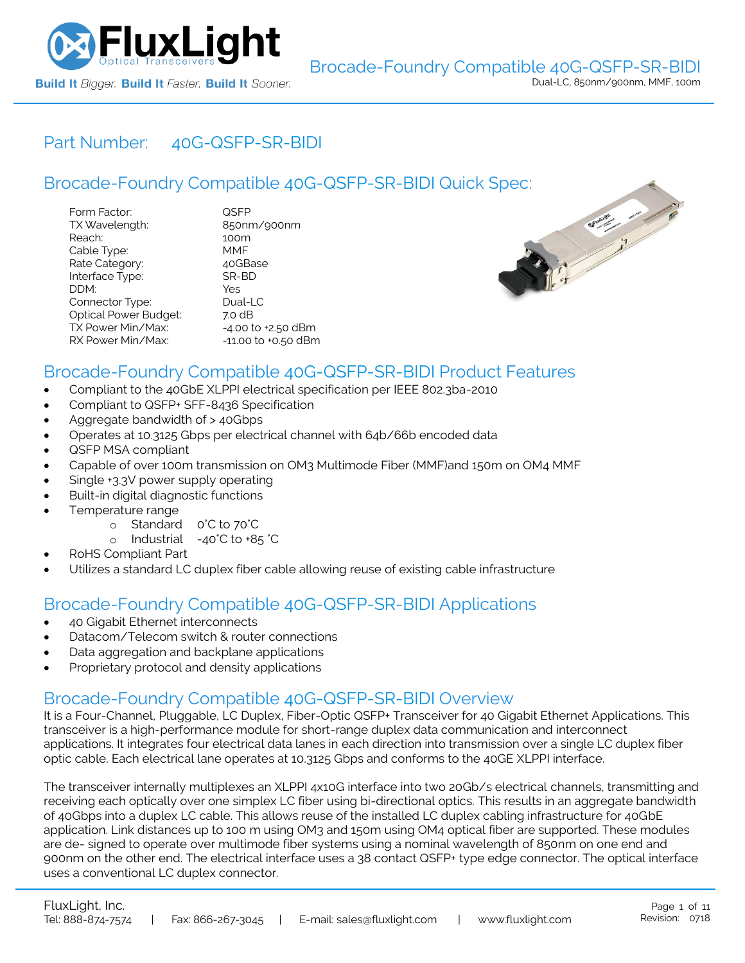

# Part Number: [40G-QSFP-SR-BIDI](https://www.fluxlight.com/40g-qsfp-sr-bidi/)

|                                                                                                                                                         | Brocade-Foundry Compatible 40G-QSFP-SR-BIDI Quick Spec:                                            |                  |
|---------------------------------------------------------------------------------------------------------------------------------------------------------|----------------------------------------------------------------------------------------------------|------------------|
| Form Factor:<br>TX Wavelength:<br>Reach:<br>Cable Type:<br>Rate Category:<br>Interface Type:<br>DDM:<br>Connector Type:<br><b>Optical Power Budget:</b> | <b>QSFP</b><br>850nm/900nm<br>100m<br><b>MMF</b><br>40GBase<br>SR-BD<br>Yes<br>$Dual-LC$<br>7.0 dB | <b>Earthligh</b> |
| TX Power Min/Max:<br>RX Power Min/Max:                                                                                                                  | $-4.00$ to $+2.50$ dBm<br>$-11.00$ to $+0.50$ dBm                                                  |                  |



## Brocade-Foundry Compatible [40G-QSFP-SR-BIDI](https://www.fluxlight.com/40g-qsfp-sr-bidi/) Product Features

- Compliant to the 40GbE XLPPI electrical specification per IEEE 802.3ba-2010
- Compliant to QSFP+ SFF-8436 Specification
- Aggregate bandwidth of > 40Gbps
- Operates at 10.3125 Gbps per electrical channel with 64b/66b encoded data
- QSFP MSA compliant
- Capable of over 100m transmission on OM3 Multimode Fiber (MMF)and 150m on OM4 MMF
- Single +3.3V power supply operating
- Built-in digital diagnostic functions
- Temperature range
	- o Standard 0°C to 70°C
	- o Industrial -40°C to +85 °C
- RoHS Compliant Part
- Utilizes a standard LC duplex fiber cable allowing reuse of existing cable infrastructure

## Brocade-Foundry Compatible [40G-QSFP-SR-BIDI](https://www.fluxlight.com/40g-qsfp-sr-bidi/) Applications

- 40 Gigabit Ethernet interconnects
- Datacom/Telecom switch & router connections
- Data aggregation and backplane applications
- Proprietary protocol and density applications

## Brocade-Foundry Compatible [40G-QSFP-SR-BIDI](https://www.fluxlight.com/40g-qsfp-sr-bidi/) Overview

It is a Four-Channel, Pluggable, LC Duplex, Fiber-Optic QSFP+ Transceiver for 40 Gigabit Ethernet Applications. This transceiver is a high-performance module for short-range duplex data communication and interconnect applications. It integrates four electrical data lanes in each direction into transmission over a single LC duplex fiber optic cable. Each electrical lane operates at 10.3125 Gbps and conforms to the 40GE XLPPI interface.

The transceiver internally multiplexes an XLPPI 4x10G interface into two 20Gb/s electrical channels, transmitting and receiving each optically over one simplex LC fiber using bi-directional optics. This results in an aggregate bandwidth of 40Gbps into a duplex LC cable. This allows reuse of the installed LC duplex cabling infrastructure for 40GbE application. Link distances up to 100 m using OM3 and 150m using OM4 optical fiber are supported. These modules are de- signed to operate over multimode fiber systems using a nominal wavelength of 850nm on one end and 900nm on the other end. The electrical interface uses a 38 contact QSFP+ type edge connector. The optical interface uses a conventional LC duplex connector.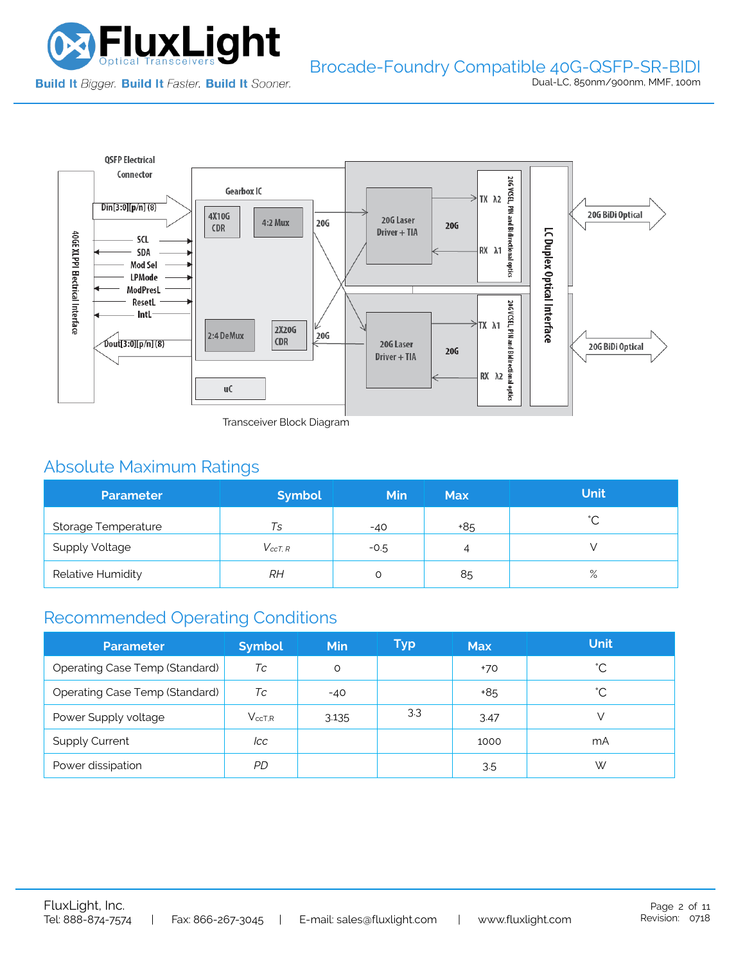



Transceiver Block Diagram

# Absolute Maximum Ratings

| <b>Parameter</b>                        | <b>Symbol</b> | <b>Min</b> | <b>Max</b> | <b>Unit</b> |
|-----------------------------------------|---------------|------------|------------|-------------|
| Storage Temperature                     | Ts            | $-40$      | +85        | $\hat{ }$   |
| <b>Supply Voltage</b><br>$V_{c c T. R}$ |               | $-0.5$     | 4          |             |
| Relative Humidity                       | RН            |            | 85         | $\%$        |

# Recommended Operating Conditions

| <b>Parameter</b>               | <b>Symbol</b>   | <b>Min</b> | Typ | <b>Max</b> | <b>Unit</b> |
|--------------------------------|-----------------|------------|-----|------------|-------------|
| Operating Case Temp (Standard) | Тc              | O          |     | +70        | °С          |
| Operating Case Temp (Standard) | Тc              | $-40$      |     | +85        | °С          |
| Power Supply voltage           | $V_{\rm ccT.R}$ | 3.135      | 3.3 | 3.47       |             |
| <b>Supply Current</b>          | lcc             |            |     | 1000       | mA          |
| Power dissipation              | PD              |            |     | 3.5        | W           |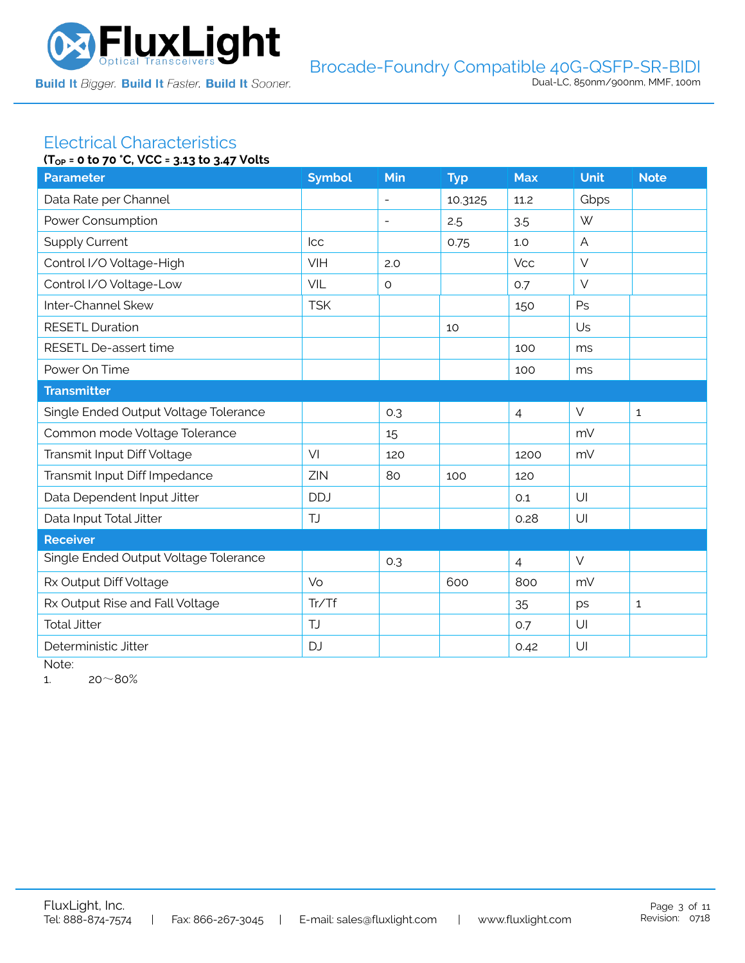

#### Electrical Characteristics **(TOP = 0 to 70 °C, VCC = 3.13 to 3.47 Volts**

| ۱۱ <sub>OP</sub> = 0 to /0 C, YCC = 3.13 to 3.4/ YOUS<br><b>Parameter</b> | <b>Symbol</b> | Min                      |            | <b>Max</b>     | Unit           | <b>Note</b>  |
|---------------------------------------------------------------------------|---------------|--------------------------|------------|----------------|----------------|--------------|
|                                                                           |               |                          | <b>Typ</b> |                |                |              |
| Data Rate per Channel                                                     |               | $\blacksquare$           | 10.3125    | 11.2           | Gbps           |              |
| Power Consumption                                                         |               | $\overline{\phantom{a}}$ | 2.5        | 3.5            | W              |              |
| <b>Supply Current</b>                                                     | <b>Icc</b>    |                          | 0.75       | 1.0            | $\overline{A}$ |              |
| Control I/O Voltage-High                                                  | VIH           | 2.0                      |            | <b>Vcc</b>     | $\vee$         |              |
| Control I/O Voltage-Low                                                   | VIL           | $\circ$                  |            | 0.7            | $\vee$         |              |
| Inter-Channel Skew                                                        | <b>TSK</b>    |                          |            | 150            | Ps             |              |
| <b>RESETL Duration</b>                                                    |               |                          | 10         |                | Us             |              |
| RESETL De-assert time                                                     |               |                          |            | 100            | ms             |              |
| Power On Time                                                             |               |                          |            | 100            | ms             |              |
| <b>Transmitter</b>                                                        |               |                          |            |                |                |              |
| Single Ended Output Voltage Tolerance                                     |               | 0.3                      |            | $\overline{4}$ | $\vee$         | $\mathbf 1$  |
| Common mode Voltage Tolerance                                             |               | 15                       |            |                | mV             |              |
| Transmit Input Diff Voltage                                               | VI            | 120                      |            | 1200           | mV             |              |
| Transmit Input Diff Impedance                                             | ZIN           | 80                       | 100        | 120            |                |              |
| Data Dependent Input Jitter                                               | <b>DDJ</b>    |                          |            | 0.1            | UI             |              |
| Data Input Total Jitter                                                   | TJ            |                          |            | 0.28           | U              |              |
| <b>Receiver</b>                                                           |               |                          |            |                |                |              |
| Single Ended Output Voltage Tolerance                                     |               | 0.3                      |            | $\overline{4}$ | $\vee$         |              |
| Rx Output Diff Voltage                                                    | Vo            |                          | 600        | 800            | mV             |              |
| Rx Output Rise and Fall Voltage                                           | Tr/Tf         |                          |            | 35             | ps             | $\mathbf{1}$ |
| <b>Total Jitter</b>                                                       | <b>TJ</b>     |                          |            | 0.7            | U              |              |
| Deterministic Jitter                                                      | <b>DJ</b>     |                          |            | 0.42           | U              |              |

Note:

1.  $20~80%$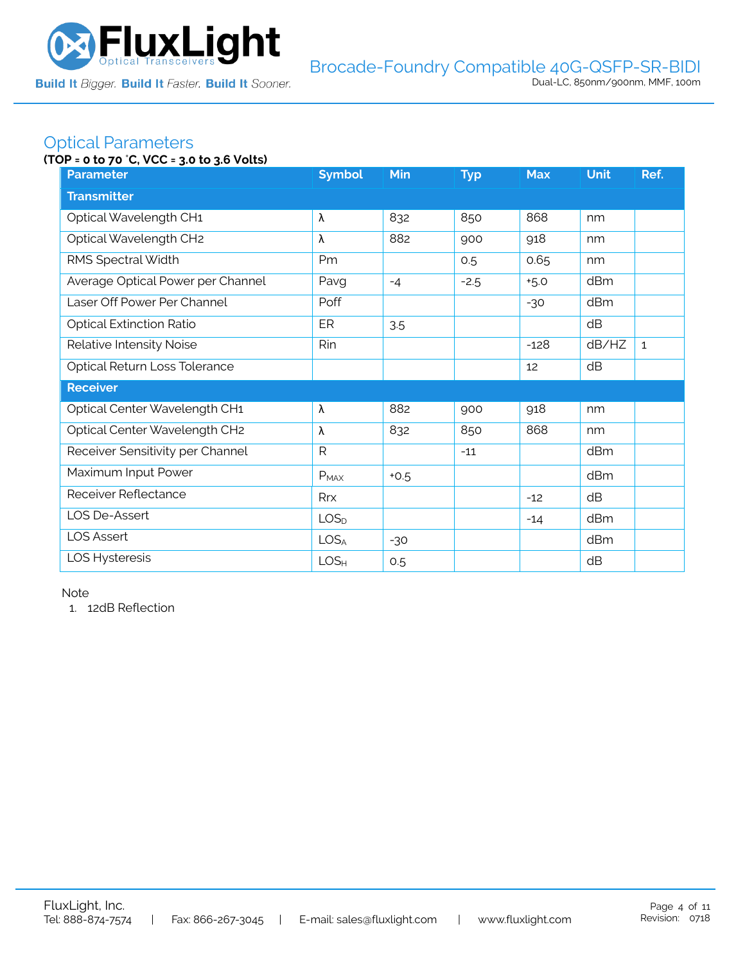

## Optical Parameters

### **(TOP = 0 to 70** °**C, VCC = 3.0 to 3.6 Volts)**

| <b>Parameter</b>                  | <b>Symbol</b>    | <b>Min</b> | <b>Typ</b> | <b>Max</b> | <b>Unit</b> | Ref.         |
|-----------------------------------|------------------|------------|------------|------------|-------------|--------------|
| <b>Transmitter</b>                |                  |            |            |            |             |              |
| Optical Wavelength CH1            | λ                | 832        | 850        | 868        | nm          |              |
| Optical Wavelength CH2            | λ                | 882        | 900        | 918        | nm          |              |
| RMS Spectral Width                | Pm               |            | 0.5        | 0.65       | nm          |              |
| Average Optical Power per Channel | Pavg             | $-4$       | $-2.5$     | $+5.0$     | dBm         |              |
| Laser Off Power Per Channel       | Poff             |            |            | $-30$      | dBm         |              |
| <b>Optical Extinction Ratio</b>   | ER               | 3.5        |            |            | dB          |              |
| Relative Intensity Noise          | Rin              |            |            | $-128$     | dB/HZ       | $\mathbf{1}$ |
| Optical Return Loss Tolerance     |                  |            |            | 12         | dB          |              |
| <b>Receiver</b>                   |                  |            |            |            |             |              |
| Optical Center Wavelength CH1     | λ                | 882        | 900        | 918        | nm          |              |
| Optical Center Wavelength CH2     | λ                | 832        | 850        | 868        | nm          |              |
| Receiver Sensitivity per Channel  | R                |            | $-11$      |            | dBm         |              |
| Maximum Input Power               | $P_{MAX}$        | $+0.5$     |            |            | dBm         |              |
| Receiver Reflectance              | Rrx              |            |            | $-12$      | dB          |              |
| LOS De-Assert                     | LOS <sub>D</sub> |            |            | $-14$      | dBm         |              |
| <b>LOS Assert</b>                 | LOS <sub>A</sub> | $-30$      |            |            | dBm         |              |
| LOS Hysteresis                    | LOS <sub>H</sub> | 0.5        |            |            | dB          |              |

Note

1. 12dB Reflection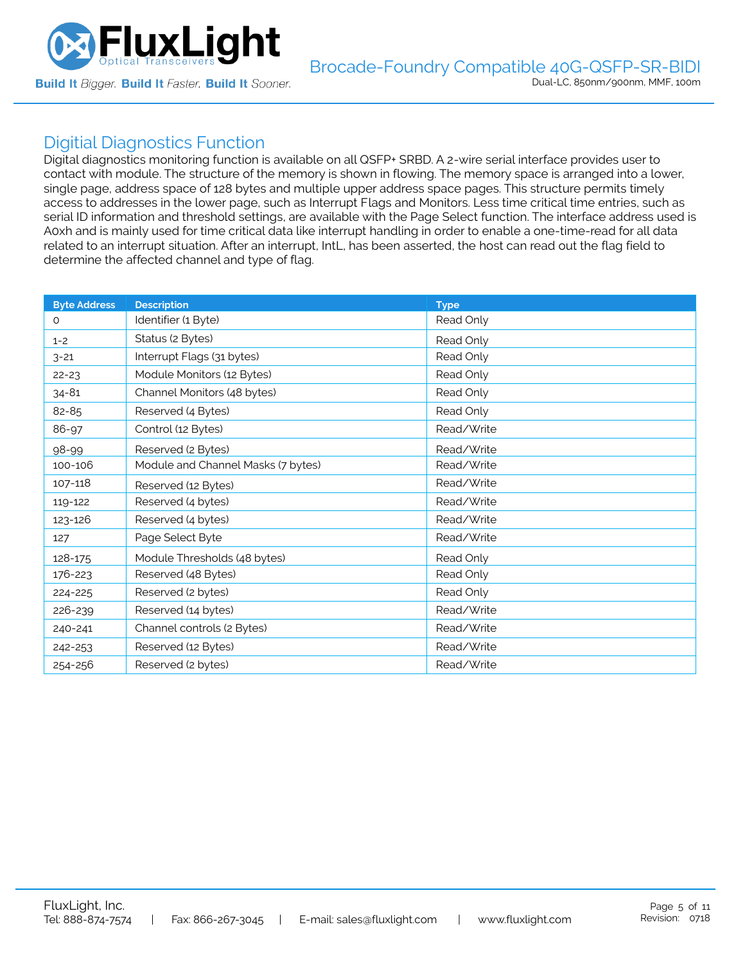

## Digitial Diagnostics Function

Digital diagnostics monitoring function is available on all QSFP+ SRBD. A 2-wire serial interface provides user to contact with module. The structure of the memory is shown in flowing. The memory space is arranged into a lower, single page, address space of 128 bytes and multiple upper address space pages. This structure permits timely access to addresses in the lower page, such as Interrupt Flags and Monitors. Less time critical time entries, such as serial ID information and threshold settings, are available with the Page Select function. The interface address used is A0xh and is mainly used for time critical data like interrupt handling in order to enable a one-time-read for all data related to an interrupt situation. After an interrupt, IntL, has been asserted, the host can read out the flag field to determine the affected channel and type of flag.

| <b>Byte Address</b> | <b>Description</b>                 | <b>Type</b> |
|---------------------|------------------------------------|-------------|
| 0                   | Identifier (1 Byte)                | Read Only   |
| $1 - 2$             | Status (2 Bytes)                   | Read Only   |
| $3 - 21$            | Interrupt Flags (31 bytes)         | Read Only   |
| $22 - 23$           | Module Monitors (12 Bytes)         | Read Only   |
| $34 - 81$           | Channel Monitors (48 bytes)        | Read Only   |
| 82-85               | Reserved (4 Bytes)                 | Read Only   |
| 86-97               | Control (12 Bytes)                 | Read/Write  |
| 98-99               | Reserved (2 Bytes)                 | Read/Write  |
| 100-106             | Module and Channel Masks (7 bytes) | Read/Write  |
| 107-118             | Reserved (12 Bytes)                | Read/Write  |
| 119-122             | Reserved (4 bytes)                 | Read/Write  |
| 123-126             | Reserved (4 bytes)                 | Read/Write  |
| 127                 | Page Select Byte                   | Read/Write  |
| 128-175             | Module Thresholds (48 bytes)       | Read Only   |
| 176-223             | Reserved (48 Bytes)                | Read Only   |
| 224-225             | Reserved (2 bytes)                 | Read Only   |
| 226-239             | Reserved (14 bytes)                | Read/Write  |
| 240-241             | Channel controls (2 Bytes)         | Read/Write  |
| 242-253             | Reserved (12 Bytes)                | Read/Write  |
| 254-256             | Reserved (2 bytes)                 | Read/Write  |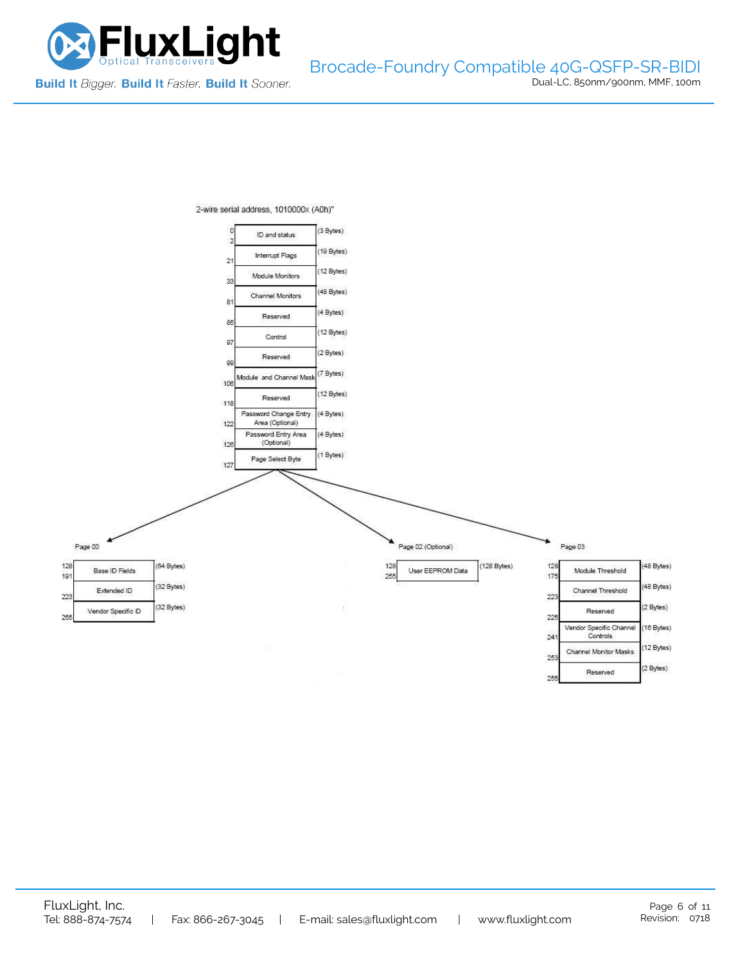

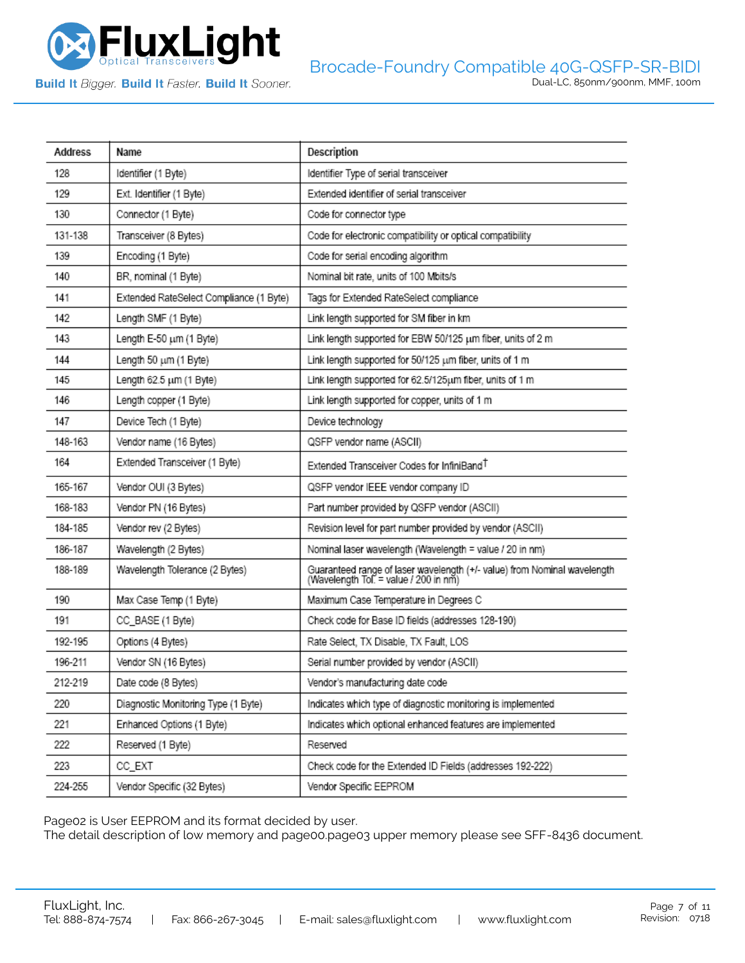

**Build It Bigger. Build It Faster. Build It Sooner.** 

| Address | Name                                    | Description                                                                                                       |
|---------|-----------------------------------------|-------------------------------------------------------------------------------------------------------------------|
| 128     | Identifier (1 Byte)                     | Identifier Type of serial transceiver                                                                             |
| 129     | Ext. Identifier (1 Byte)                | Extended identifier of serial transceiver                                                                         |
| 130     | Connector (1 Byte)                      | Code for connector type                                                                                           |
| 131-138 | Transceiver (8 Bytes)                   | Code for electronic compatibility or optical compatibility                                                        |
| 139     | Encoding (1 Byte)                       | Code for serial encoding algorithm                                                                                |
| 140     | BR, nominal (1 Byte)                    | Nominal bit rate, units of 100 Mbits/s                                                                            |
| 141     | Extended RateSelect Compliance (1 Byte) | Tags for Extended RateSelect compliance                                                                           |
| 142     | Length SMF (1 Byte)                     | Link length supported for SM fiber in km                                                                          |
| 143     | Length E-50 um (1 Byte)                 | Link length supported for EBW 50/125 um fiber, units of 2 m                                                       |
| 144     | Length 50 um (1 Byte)                   | Link length supported for 50/125 um fiber, units of 1 m                                                           |
| 145     | Length 62.5 um (1 Byte)                 | Link length supported for 62.5/125um fiber, units of 1 m                                                          |
| 146     | Length copper (1 Byte)                  | Link length supported for copper, units of 1 m                                                                    |
| 147     | Device Tech (1 Byte)                    | Device technology                                                                                                 |
| 148-163 | Vendor name (16 Bytes)                  | QSFP vendor name (ASCII)                                                                                          |
| 164     | Extended Transceiver (1 Byte)           | Extended Transceiver Codes for InfiniBand <sup>T</sup>                                                            |
| 165-167 | Vendor OUI (3 Bytes)                    | QSFP vendor IEEE vendor company ID                                                                                |
| 168-183 | Vendor PN (16 Bytes)                    | Part number provided by QSFP vendor (ASCII)                                                                       |
| 184-185 | Vendor rev (2 Bytes)                    | Revision level for part number provided by vendor (ASCII)                                                         |
| 186-187 | Wavelength (2 Bytes)                    | Nominal laser wavelength (Wavelength = value / 20 in nm)                                                          |
| 188-189 | Wavelength Tolerance (2 Bytes)          | Guaranteed range of laser wavelength (+/- value) from Nominal wavelength<br>(Wavelength Tol. = value / 200 in nm) |
| 190     | Max Case Temp (1 Byte)                  | Maximum Case Temperature in Degrees C                                                                             |
| 191     | CC_BASE (1 Byte)                        | Check code for Base ID fields (addresses 128-190)                                                                 |
| 192-195 | Options (4 Bytes)                       | Rate Select, TX Disable, TX Fault, LOS                                                                            |
| 196-211 | Vendor SN (16 Bytes)                    | Serial number provided by vendor (ASCII)                                                                          |
| 212-219 | Date code (8 Bytes)                     | Vendor's manufacturing date code                                                                                  |
| 220     | Diagnostic Monitoring Type (1 Byte)     | Indicates which type of diagnostic monitoring is implemented                                                      |
| 221     | Enhanced Options (1 Byte)               | Indicates which optional enhanced features are implemented                                                        |
| 222     | Reserved (1 Byte)                       | Reserved                                                                                                          |
| 223     | CC_EXT                                  | Check code for the Extended ID Fields (addresses 192-222)                                                         |
| 224-255 | Vendor Specific (32 Bytes)              | Vendor Specific EEPROM                                                                                            |

Page02 is User EEPROM and its format decided by user.

The detail description of low memory and page00.page03 upper memory please see SFF-8436 document.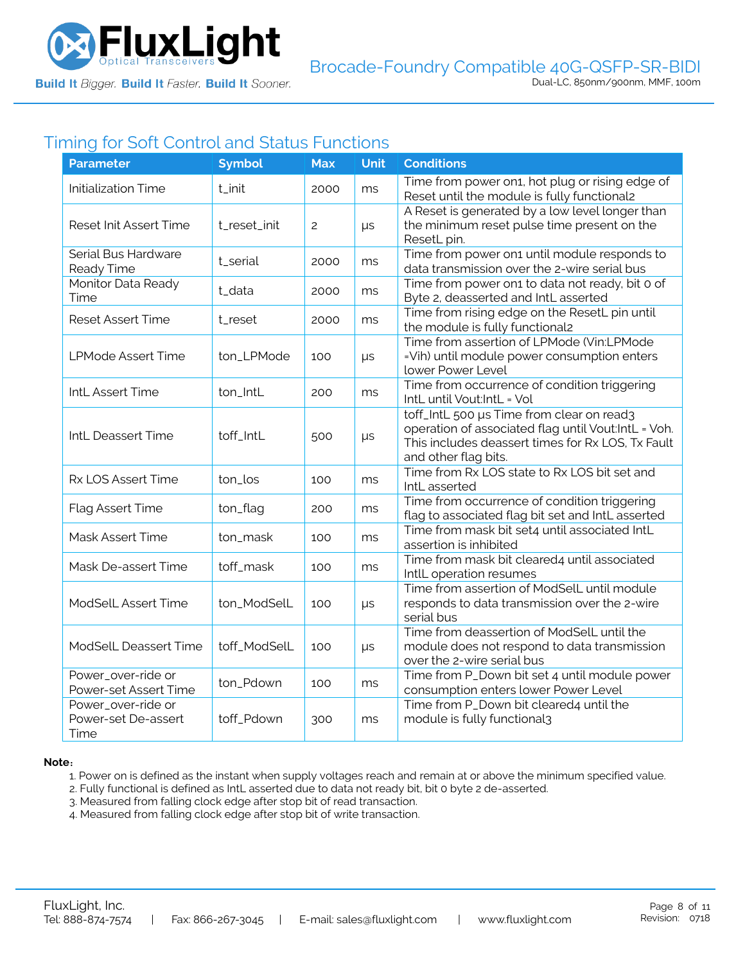

# Timing for Soft Control and Status Functions

| <b>Parameter</b>                                  | <b>Symbol</b> | <b>Max</b>     | <b>Unit</b> | <b>Conditions</b>                                                                                                                                                             |
|---------------------------------------------------|---------------|----------------|-------------|-------------------------------------------------------------------------------------------------------------------------------------------------------------------------------|
| <b>Initialization Time</b>                        | t_init        | 2000           | ms          | Time from power on1, hot plug or rising edge of<br>Reset until the module is fully functional2                                                                                |
| Reset Init Assert Time                            | t_reset_init  | $\overline{2}$ | $\mu s$     | A Reset is generated by a low level longer than<br>the minimum reset pulse time present on the<br>ResetL pin.                                                                 |
| Serial Bus Hardware<br>Ready Time                 | t_serial      | 2000           | ms          | Time from power on1 until module responds to<br>data transmission over the 2-wire serial bus                                                                                  |
| Monitor Data Ready<br>Time                        | t_data        | 2000           | ms          | Time from power on1 to data not ready, bit 0 of<br>Byte 2, deasserted and IntL asserted                                                                                       |
| <b>Reset Assert Time</b>                          | t_reset       | 2000           | ms          | Time from rising edge on the ResetL pin until<br>the module is fully functional2                                                                                              |
| <b>LPMode Assert Time</b>                         | ton_LPMode    | 100            | $\mu s$     | Time from assertion of LPMode (Vin:LPMode<br>=Vih) until module power consumption enters<br>lower Power Level                                                                 |
| IntL Assert Time                                  | ton_IntL      | 200            | ms          | Time from occurrence of condition triggering<br>IntL until Vout:IntL = Vol                                                                                                    |
| IntL Deassert Time                                | toff_IntL     | 500            | $\mu s$     | toff_IntL 500 µs Time from clear on read3<br>operation of associated flag until Vout:IntL = Voh.<br>This includes deassert times for Rx LOS, Tx Fault<br>and other flag bits. |
| Rx LOS Assert Time                                | ton_los       | 100            | ms          | Time from Rx LOS state to Rx LOS bit set and<br>IntL asserted                                                                                                                 |
| Flag Assert Time                                  | ton_flag      | 200            | ms          | Time from occurrence of condition triggering<br>flag to associated flag bit set and IntL asserted                                                                             |
| Mask Assert Time                                  | ton_mask      | 100            | ms          | Time from mask bit set4 until associated IntL<br>assertion is inhibited                                                                                                       |
| Mask De-assert Time                               | toff_mask     | 100            | ms          | Time from mask bit cleared4 until associated<br>IntlL operation resumes                                                                                                       |
| ModSelL Assert Time                               | ton_ModSelL   | 100            | μs          | Time from assertion of ModSelL until module<br>responds to data transmission over the 2-wire<br>serial bus                                                                    |
| ModSelL Deassert Time                             | toff_ModSelL  | 100            | $\mu s$     | Time from deassertion of ModSelL until the<br>module does not respond to data transmission<br>over the 2-wire serial bus                                                      |
| Power_over-ride or<br>Power-set Assert Time       | ton_Pdown     | 100            | ms          | Time from P_Down bit set 4 until module power<br>consumption enters lower Power Level                                                                                         |
| Power_over-ride or<br>Power-set De-assert<br>Time | toff_Pdown    | 300            | ms          | Time from P_Down bit cleared4 until the<br>module is fully functional3                                                                                                        |

#### **Note**:

1. Power on is defined as the instant when supply voltages reach and remain at or above the minimum specified value.

- 2. Fully functional is defined as IntL asserted due to data not ready bit, bit 0 byte 2 de-asserted.
- 3. Measured from falling clock edge after stop bit of read transaction.
- 4. Measured from falling clock edge after stop bit of write transaction.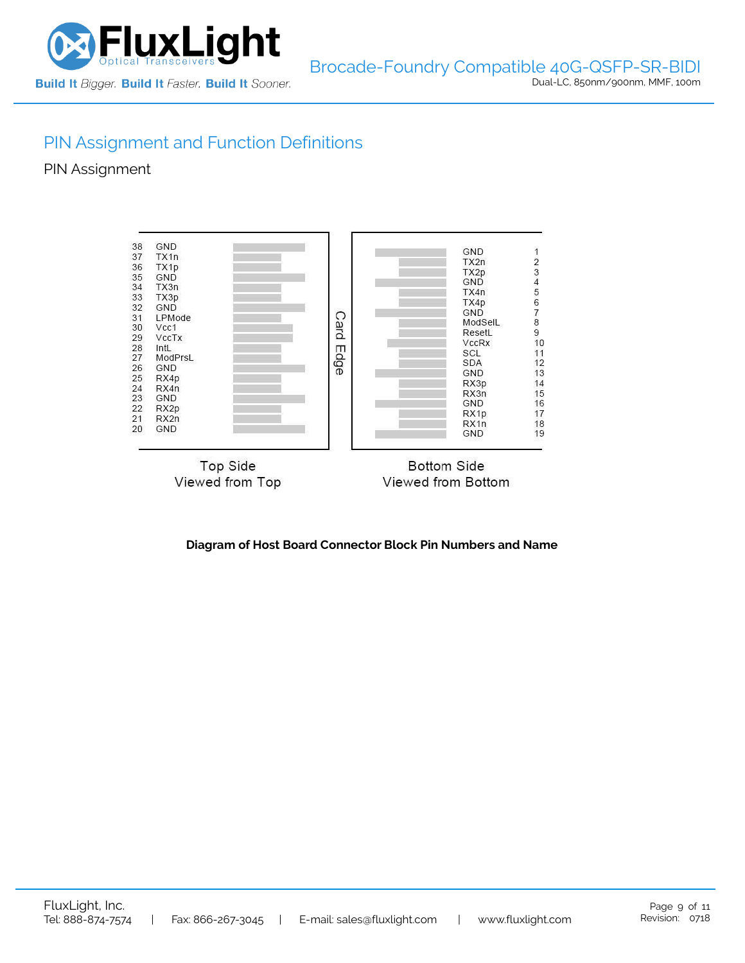

# PIN Assignment and Function Definitions

PIN Assignment



**Diagram of Host Board Connector Block Pin Numbers and Name**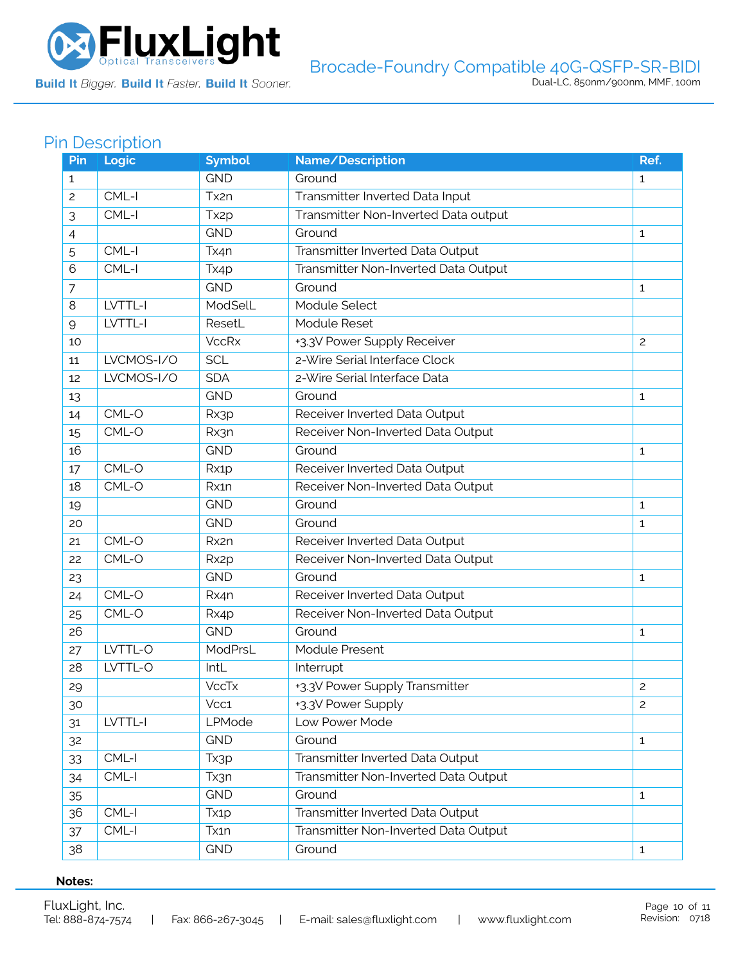

**Build It Bigger. Build It Faster. Build It Sooner.** 

## Pin Description

| Pin            | Logic      | <b>Symbol</b>     | Name/Description                     | Ref.           |
|----------------|------------|-------------------|--------------------------------------|----------------|
| $\mathbf{1}$   |            | <b>GND</b>        | Ground                               | $\mathbf{1}$   |
| $\overline{c}$ | $CML-I$    | Tx2n              | Transmitter Inverted Data Input      |                |
| 3              | $CML-I$    | Tx <sub>2p</sub>  | Transmitter Non-Inverted Data output |                |
| 4              |            | <b>GND</b>        | Ground                               | $\mathbf{1}$   |
| 5              | $CML-I$    | Tx4n              | Transmitter Inverted Data Output     |                |
| 6              | CML-I      | Tx4p              | Transmitter Non-Inverted Data Output |                |
| $\overline{7}$ |            | <b>GND</b>        | Ground                               | $\mathbf{1}$   |
| 8              | LVTTL-I    | ModSelL           | Module Select                        |                |
| $\mathsf{Q}$   | LVTTL-I    | ResetL            | Module Reset                         |                |
| 10             |            | <b>VccRx</b>      | +3.3V Power Supply Receiver          | $\overline{c}$ |
| 11             | LVCMOS-I/O | <b>SCL</b>        | 2-Wire Serial Interface Clock        |                |
| 12             | LVCMOS-I/O | <b>SDA</b>        | 2-Wire Serial Interface Data         |                |
| 13             |            | <b>GND</b>        | Ground                               | 1              |
| 14             | $CML-O$    | Rx3p              | Receiver Inverted Data Output        |                |
| 15             | CML-O      | Rx3n              | Receiver Non-Inverted Data Output    |                |
| 16             |            | <b>GND</b>        | Ground                               | $\mathbf{1}$   |
| 17             | CML-O      | Rx1p              | Receiver Inverted Data Output        |                |
| 18             | CML-O      | Rx1n              | Receiver Non-Inverted Data Output    |                |
| 19             |            | <b>GND</b>        | Ground                               | $\mathbf{1}$   |
| 20             |            | <b>GND</b>        | Ground                               | 1              |
| 21             | CML-O      | Rx2n              | Receiver Inverted Data Output        |                |
| 22             | CML-O      | Rx <sub>2</sub> p | Receiver Non-Inverted Data Output    |                |
| 23             |            | <b>GND</b>        | Ground                               | $\mathbf{1}$   |
| 24             | CML-O      | Rx4n              | Receiver Inverted Data Output        |                |
| 25             | CML-O      | Rx4p              | Receiver Non-Inverted Data Output    |                |
| 26             |            | <b>GND</b>        | Ground                               | 1              |
| 27             | LVTTL-O    | ModPrsL           | Module Present                       |                |
| 28             | LVTTL-O    | IntL              | Interrupt                            |                |
| 29             |            | <b>VccTx</b>      | +3.3V Power Supply Transmitter       | 2              |
| 30             |            | Vcc1              | +3.3V Power Supply                   | $\overline{c}$ |
| 31             | LVTTL-I    | LPMode            | Low Power Mode                       |                |
| 32             |            | <b>GND</b>        | Ground                               | $\mathbf{1}$   |
| 33             | $CML-I$    | Tx3p              | Transmitter Inverted Data Output     |                |
| 34             | CML-I      | Tx3n              | Transmitter Non-Inverted Data Output |                |
| 35             |            | <b>GND</b>        | Ground                               | $\mathbf{1}$   |
| 36             | CML-I      | Tx <sub>1</sub> p | Transmitter Inverted Data Output     |                |
| 37             | $CML-I$    | Tx1n              | Transmitter Non-Inverted Data Output |                |
| 38             |            | <b>GND</b>        | Ground                               | $\mathbf{1}$   |

#### **Notes:**